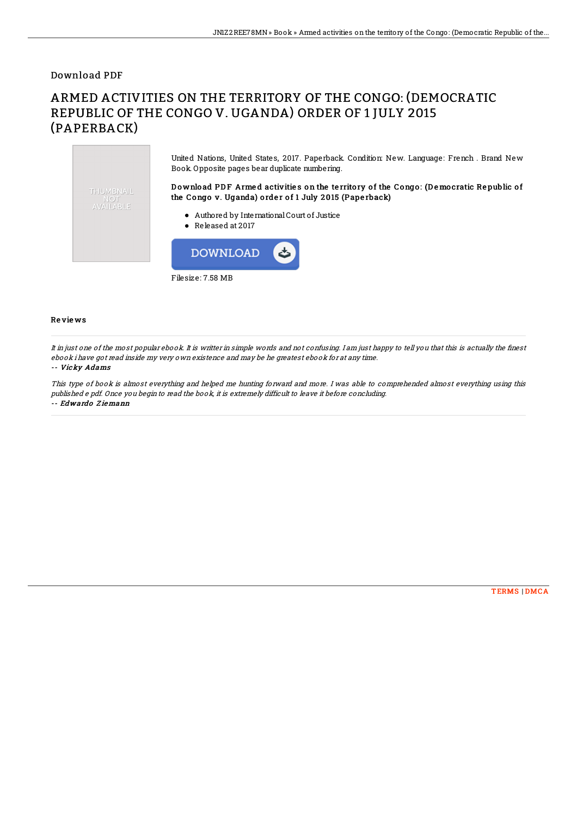### Download PDF

THUMBNAIL **AVAILABLE** 

# ARMED ACTIVITIES ON THE TERRITORY OF THE CONGO: (DEMOCRATIC REPUBLIC OF THE CONGO V. UGANDA) ORDER OF 1 JULY 2015 (PAPERBACK)

United Nations, United States, 2017. Paperback. Condition: New. Language: French . Brand New Book. Opposite pages bear duplicate numbering.

Download PDF Armed activities on the territory of the Congo: (Democratic Republic of the Congo v. Uganda) order of 1 July 2015 (Paperback)

- Authored by InternationalCourt of Justice
- Released at 2017



#### Re vie ws

It in just one of the most popular ebook. It is writter in simple words and not confusing. I am just happy to tell you that this is actually the 7nest ebook i have got read inside my very own existence and may be he greatest ebook for at any time.

#### -- Vicky Adams

This type of book is almost everything and helped me hunting forward and more. I was able to comprehended almost everything using this published <sup>e</sup> pdf. Once you begin to read the book, it is extremely difficult to leave it before concluding. -- Edwardo Z iemann